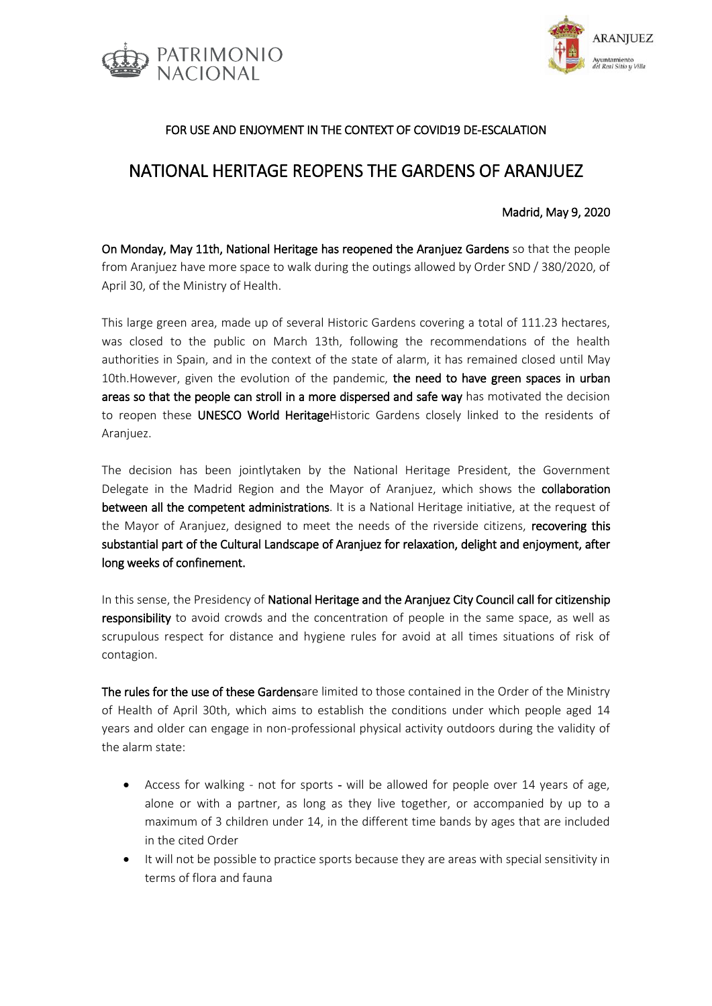



## FOR USE AND ENJOYMENT IN THE CONTEXT OF COVID19 DE-ESCALATION

# NATIONAL HERITAGE REOPENS THE GARDENS OF ARANJUEZ

#### Madrid, May 9, 2020

On Monday, May 11th, National Heritage has reopened the Aranjuez Gardens so that the people from Aranjuez have more space to walk during the outings allowed by Order SND / 380/2020, of April 30, of the Ministry of Health.

This large green area, made up of several Historic Gardens covering a total of 111.23 hectares, was closed to the public on March 13th, following the recommendations of the health authorities in Spain, and in the context of the state of alarm, it has remained closed until May 10th.However, given the evolution of the pandemic, the need to have green spaces in urban areas so that the people can stroll in a more dispersed and safe way has motivated the decision to reopen these UNESCO World HeritageHistoric Gardens closely linked to the residents of Aranjuez.

The decision has been jointlytaken by the National Heritage President, the Government Delegate in the Madrid Region and the Mayor of Aranjuez, which shows the collaboration between all the competent administrations. It is a National Heritage initiative, at the request of the Mayor of Aranjuez, designed to meet the needs of the riverside citizens, recovering this substantial part of the Cultural Landscape of Aranjuez for relaxation, delight and enjoyment, after long weeks of confinement.

In this sense, the Presidency of National Heritage and the Aranjuez City Council call for citizenship responsibility to avoid crowds and the concentration of people in the same space, as well as scrupulous respect for distance and hygiene rules for avoid at all times situations of risk of contagion.

The rules for the use of these Gardensare limited to those contained in the Order of the Ministry of Health of April 30th, which aims to establish the conditions under which people aged 14 years and older can engage in non-professional physical activity outdoors during the validity of the alarm state:

- Access for walking not for sports will be allowed for people over 14 years of age, alone or with a partner, as long as they live together, or accompanied by up to a maximum of 3 children under 14, in the different time bands by ages that are included in the cited Order
- It will not be possible to practice sports because they are areas with special sensitivity in terms of flora and fauna